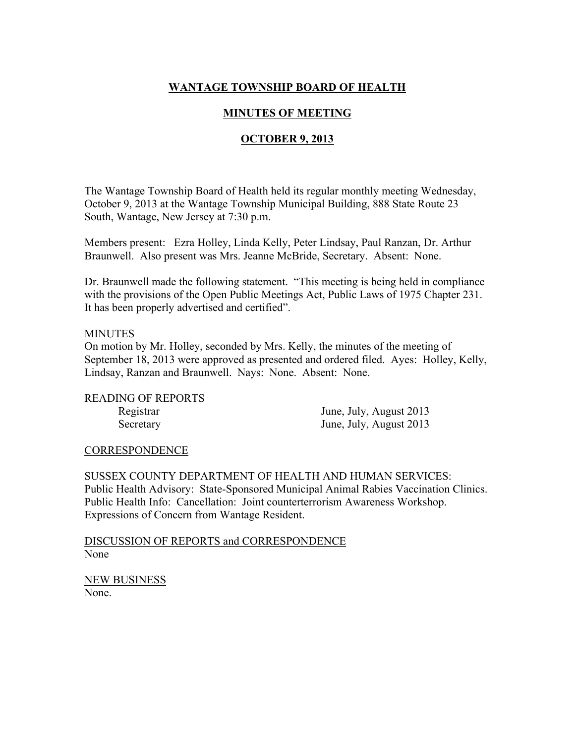# WANTAGE TOWNSHIP BOARD OF HEALTH

# MINUTES OF MEETING

# OCTOBER 9, 2013

The Wantage Township Board of Health held its regular monthly meeting Wednesday, October 9, 2013 at the Wantage Township Municipal Building, 888 State Route 23 South, Wantage, New Jersey at 7:30 p.m.

Members present: Ezra Holley, Linda Kelly, Peter Lindsay, Paul Ranzan, Dr. Arthur Braunwell. Also present was Mrs. Jeanne McBride, Secretary. Absent: None.

Dr. Braunwell made the following statement. "This meeting is being held in compliance with the provisions of the Open Public Meetings Act, Public Laws of 1975 Chapter 231. It has been properly advertised and certified".

#### MINUTES

On motion by Mr. Holley, seconded by Mrs. Kelly, the minutes of the meeting of September 18, 2013 were approved as presented and ordered filed. Ayes: Holley, Kelly, Lindsay, Ranzan and Braunwell. Nays: None. Absent: None.

### READING OF REPORTS

Registrar June, July, August 2013 Secretary June, July, August 2013

### CORRESPONDENCE

SUSSEX COUNTY DEPARTMENT OF HEALTH AND HUMAN SERVICES: Public Health Advisory: State-Sponsored Municipal Animal Rabies Vaccination Clinics. Public Health Info: Cancellation: Joint counterterrorism Awareness Workshop. Expressions of Concern from Wantage Resident.

DISCUSSION OF REPORTS and CORRESPONDENCE None

NEW BUSINESS None.